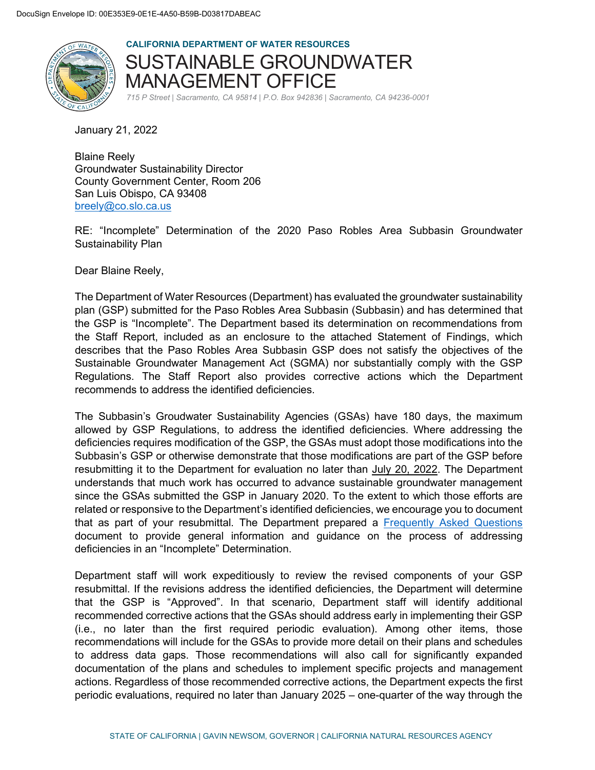

**CALIFORNIA DEPARTMENT OF WATER RESOURCES**  SUSTAINABLE GROUNDWATER MANAGEMENT OFFICE *715 P Street | Sacramento, CA 95814 | P.O. Box 942836 | Sacramento, CA 94236-0001*

January 21, 2022

Blaine Reely Groundwater Sustainability Director County Government Center, Room 206 San Luis Obispo, CA 93408 [breely@co.slo.ca.us](mailto:breely@co.slo.ca.us)

RE: "Incomplete" Determination of the 2020 Paso Robles Area Subbasin Groundwater Sustainability Plan

Dear Blaine Reely,

The Department of Water Resources (Department) has evaluated the groundwater sustainability plan (GSP) submitted for the Paso Robles Area Subbasin (Subbasin) and has determined that the GSP is "Incomplete". The Department based its determination on recommendations from the Staff Report, included as an enclosure to the attached Statement of Findings, which describes that the Paso Robles Area Subbasin GSP does not satisfy the objectives of the Sustainable Groundwater Management Act (SGMA) nor substantially comply with the GSP Regulations. The Staff Report also provides corrective actions which the Department recommends to address the identified deficiencies.

The Subbasin's Groudwater Sustainability Agencies (GSAs) have 180 days, the maximum allowed by GSP Regulations, to address the identified deficiencies. Where addressing the deficiencies requires modification of the GSP, the GSAs must adopt those modifications into the Subbasin's GSP or otherwise demonstrate that those modifications are part of the GSP before resubmitting it to the Department for evaluation no later than July 20, 2022. The Department understands that much work has occurred to advance sustainable groundwater management since the GSAs submitted the GSP in January 2020. To the extent to which those efforts are related or responsive to the Department's identified deficiencies, we encourage you to document that as part of your resubmittal. The Department prepared a [Frequently Asked Questions](https://water.ca.gov/-/media/DWR-Website/Web-Pages/Programs/Groundwater-Management/Sustainable-Groundwater-Management/Groundwater-Sustainability-Plans/Files/GSP/GSP-Incomplete-Assessment-FAQ.pdf) document to provide general information and guidance on the process of addressing deficiencies in an "Incomplete" Determination.

Department staff will work expeditiously to review the revised components of your GSP resubmittal. If the revisions address the identified deficiencies, the Department will determine that the GSP is "Approved". In that scenario, Department staff will identify additional recommended corrective actions that the GSAs should address early in implementing their GSP (i.e., no later than the first required periodic evaluation). Among other items, those recommendations will include for the GSAs to provide more detail on their plans and schedules to address data gaps. Those recommendations will also call for significantly expanded documentation of the plans and schedules to implement specific projects and management actions. Regardless of those recommended corrective actions, the Department expects the first periodic evaluations, required no later than January 2025 – one-quarter of the way through the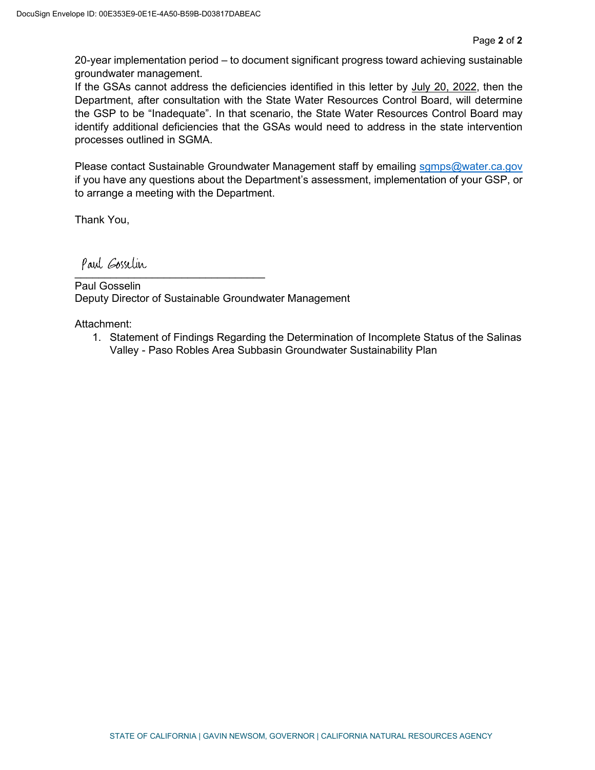20-year implementation period – to document significant progress toward achieving sustainable groundwater management.

If the GSAs cannot address the deficiencies identified in this letter by July 20, 2022, then the Department, after consultation with the State Water Resources Control Board, will determine the GSP to be "Inadequate". In that scenario, the State Water Resources Control Board may identify additional deficiencies that the GSAs would need to address in the state intervention processes outlined in SGMA.

Please contact Sustainable Groundwater Management staff by emailing [sgmps@water.ca.gov](mailto:sgmps@water.ca.gov) if you have any questions about the Department's assessment, implementation of your GSP, or to arrange a meeting with the Department.

Thank You,

Paul Eosselin \_\_\_\_\_\_\_\_\_\_\_\_\_\_\_\_\_\_\_\_\_\_\_\_\_\_\_\_\_\_\_\_

Paul Gosselin Deputy Director of Sustainable Groundwater Management

Attachment:

1. Statement of Findings Regarding the Determination of Incomplete Status of the Salinas Valley - Paso Robles Area Subbasin Groundwater Sustainability Plan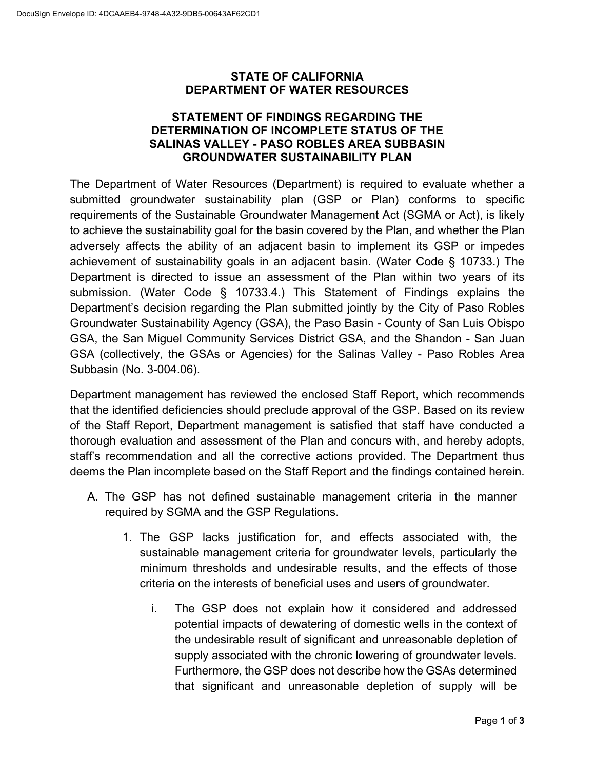#### **STATE OF CALIFORNIA DEPARTMENT OF WATER RESOURCES**

#### **STATEMENT OF FINDINGS REGARDING THE DETERMINATION OF INCOMPLETE STATUS OF THE SALINAS VALLEY - PASO ROBLES AREA SUBBASIN GROUNDWATER SUSTAINABILITY PLAN**

The Department of Water Resources (Department) is required to evaluate whether a submitted groundwater sustainability plan (GSP or Plan) conforms to specific requirements of the Sustainable Groundwater Management Act (SGMA or Act), is likely to achieve the sustainability goal for the basin covered by the Plan, and whether the Plan adversely affects the ability of an adjacent basin to implement its GSP or impedes achievement of sustainability goals in an adjacent basin. (Water Code § 10733.) The Department is directed to issue an assessment of the Plan within two years of its submission. (Water Code § 10733.4.) This Statement of Findings explains the Department's decision regarding the Plan submitted jointly by the City of Paso Robles Groundwater Sustainability Agency (GSA), the Paso Basin - County of San Luis Obispo GSA, the San Miguel Community Services District GSA, and the Shandon - San Juan GSA (collectively, the GSAs or Agencies) for the Salinas Valley - Paso Robles Area Subbasin (No. 3-004.06).

Department management has reviewed the enclosed Staff Report, which recommends that the identified deficiencies should preclude approval of the GSP. Based on its review of the Staff Report, Department management is satisfied that staff have conducted a thorough evaluation and assessment of the Plan and concurs with, and hereby adopts, staff's recommendation and all the corrective actions provided. The Department thus deems the Plan incomplete based on the Staff Report and the findings contained herein.

- A. The GSP has not defined sustainable management criteria in the manner required by SGMA and the GSP Regulations.
	- 1. The GSP lacks justification for, and effects associated with, the sustainable management criteria for groundwater levels, particularly the minimum thresholds and undesirable results, and the effects of those criteria on the interests of beneficial uses and users of groundwater.
		- i. The GSP does not explain how it considered and addressed potential impacts of dewatering of domestic wells in the context of the undesirable result of significant and unreasonable depletion of supply associated with the chronic lowering of groundwater levels. Furthermore, the GSP does not describe how the GSAs determined that significant and unreasonable depletion of supply will be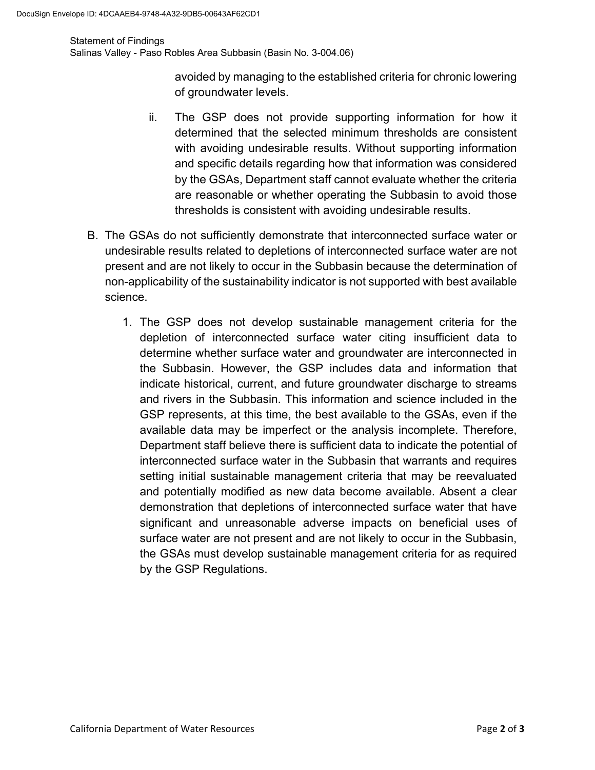#### Statement of Findings

Salinas Valley - Paso Robles Area Subbasin (Basin No. 3-004.06)

avoided by managing to the established criteria for chronic lowering of groundwater levels.

- ii. The GSP does not provide supporting information for how it determined that the selected minimum thresholds are consistent with avoiding undesirable results. Without supporting information and specific details regarding how that information was considered by the GSAs, Department staff cannot evaluate whether the criteria are reasonable or whether operating the Subbasin to avoid those thresholds is consistent with avoiding undesirable results.
- B. The GSAs do not sufficiently demonstrate that interconnected surface water or undesirable results related to depletions of interconnected surface water are not present and are not likely to occur in the Subbasin because the determination of non-applicability of the sustainability indicator is not supported with best available science.
	- 1. The GSP does not develop sustainable management criteria for the depletion of interconnected surface water citing insufficient data to determine whether surface water and groundwater are interconnected in the Subbasin. However, the GSP includes data and information that indicate historical, current, and future groundwater discharge to streams and rivers in the Subbasin. This information and science included in the GSP represents, at this time, the best available to the GSAs, even if the available data may be imperfect or the analysis incomplete. Therefore, Department staff believe there is sufficient data to indicate the potential of interconnected surface water in the Subbasin that warrants and requires setting initial sustainable management criteria that may be reevaluated and potentially modified as new data become available. Absent a clear demonstration that depletions of interconnected surface water that have significant and unreasonable adverse impacts on beneficial uses of surface water are not present and are not likely to occur in the Subbasin, the GSAs must develop sustainable management criteria for as required by the GSP Regulations.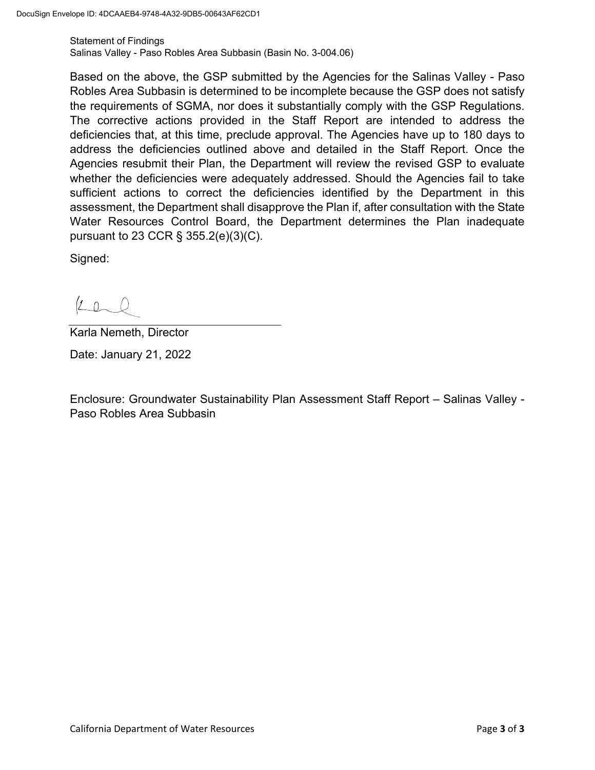Statement of Findings Salinas Valley - Paso Robles Area Subbasin (Basin No. 3-004.06)

Based on the above, the GSP submitted by the Agencies for the Salinas Valley - Paso Robles Area Subbasin is determined to be incomplete because the GSP does not satisfy the requirements of SGMA, nor does it substantially comply with the GSP Regulations. The corrective actions provided in the Staff Report are intended to address the deficiencies that, at this time, preclude approval. The Agencies have up to 180 days to address the deficiencies outlined above and detailed in the Staff Report. Once the Agencies resubmit their Plan, the Department will review the revised GSP to evaluate whether the deficiencies were adequately addressed. Should the Agencies fail to take sufficient actions to correct the deficiencies identified by the Department in this assessment, the Department shall disapprove the Plan if, after consultation with the State Water Resources Control Board, the Department determines the Plan inadequate pursuant to 23 CCR § 355.2(e)(3)(C).

Signed:

 $2000$ 

Karla Nemeth, Director

Date: January 21, 2022

Enclosure: Groundwater Sustainability Plan Assessment Staff Report – Salinas Valley - Paso Robles Area Subbasin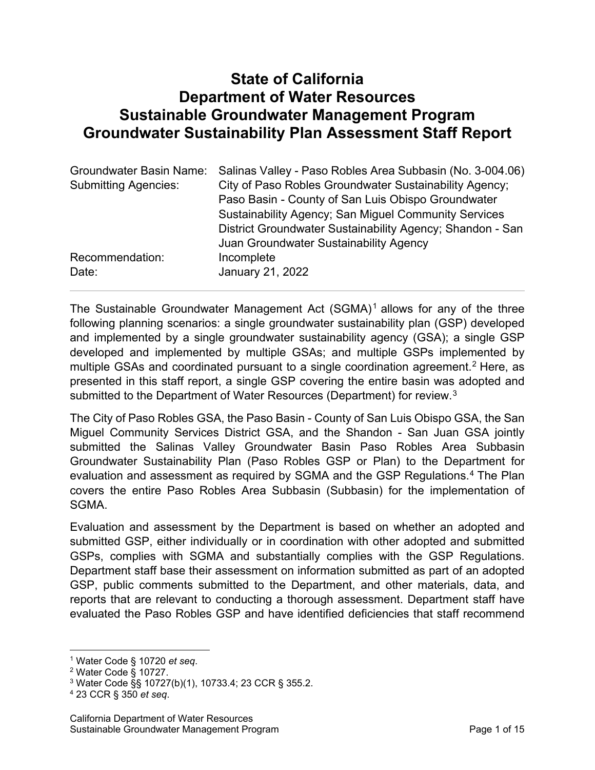## **State of California Department of Water Resources Sustainable Groundwater Management Program Groundwater Sustainability Plan Assessment Staff Report**

| Salinas Valley - Paso Robles Area Subbasin (No. 3-004.06)                                                                                                                                                                |  |
|--------------------------------------------------------------------------------------------------------------------------------------------------------------------------------------------------------------------------|--|
| City of Paso Robles Groundwater Sustainability Agency;                                                                                                                                                                   |  |
| Paso Basin - County of San Luis Obispo Groundwater<br><b>Sustainability Agency; San Miguel Community Services</b><br>District Groundwater Sustainability Agency; Shandon - San<br>Juan Groundwater Sustainability Agency |  |
|                                                                                                                                                                                                                          |  |
|                                                                                                                                                                                                                          |  |
|                                                                                                                                                                                                                          |  |

The Sustainable Groundwater Management Act  $(SGMA)^1$  $(SGMA)^1$  allows for any of the three following planning scenarios: a single groundwater sustainability plan (GSP) developed and implemented by a single groundwater sustainability agency (GSA); a single GSP developed and implemented by multiple GSAs; and multiple GSPs implemented by multiple GSAs and coordinated pursuant to a single coordination agreement.<sup>[2](#page-5-1)</sup> Here, as presented in this staff report, a single GSP covering the entire basin was adopted and submitted to the Department of Water Resources (Department) for review.<sup>[3](#page-5-2)</sup>

The City of Paso Robles GSA, the Paso Basin - County of San Luis Obispo GSA, the San Miguel Community Services District GSA, and the Shandon - San Juan GSA jointly submitted the Salinas Valley Groundwater Basin Paso Robles Area Subbasin Groundwater Sustainability Plan (Paso Robles GSP or Plan) to the Department for evaluation and assessment as required by SGMA and the GSP Regulations. [4](#page-5-3) The Plan covers the entire Paso Robles Area Subbasin (Subbasin) for the implementation of SGMA.

Evaluation and assessment by the Department is based on whether an adopted and submitted GSP, either individually or in coordination with other adopted and submitted GSPs, complies with SGMA and substantially complies with the GSP Regulations. Department staff base their assessment on information submitted as part of an adopted GSP, public comments submitted to the Department, and other materials, data, and reports that are relevant to conducting a thorough assessment. Department staff have evaluated the Paso Robles GSP and have identified deficiencies that staff recommend

<span id="page-5-0"></span><sup>1</sup> Water Code § 10720 *et seq*.

<span id="page-5-1"></span><sup>2</sup> Water Code § 10727.

<span id="page-5-2"></span><sup>3</sup> Water Code §§ 10727(b)(1), 10733.4; 23 CCR § 355.2.

<span id="page-5-3"></span><sup>4</sup> 23 CCR § 350 *et seq*.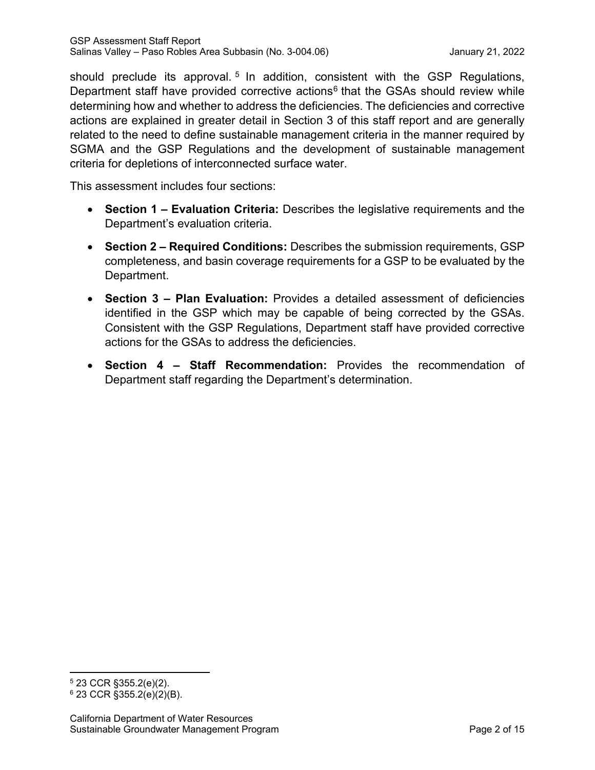should preclude its approval.<sup>[5](#page-6-0)</sup> In addition, consistent with the GSP Regulations, Department staff have provided corrective actions<sup>[6](#page-6-1)</sup> that the GSAs should review while determining how and whether to address the deficiencies. The deficiencies and corrective actions are explained in greater detail in Section 3 of this staff report and are generally related to the need to define sustainable management criteria in the manner required by SGMA and the GSP Regulations and the development of sustainable management criteria for depletions of interconnected surface water.

This assessment includes four sections:

- **Section 1 – Evaluation Criteria:** Describes the legislative requirements and the Department's evaluation criteria.
- **Section 2 – Required Conditions:** Describes the submission requirements, GSP completeness, and basin coverage requirements for a GSP to be evaluated by the Department.
- **Section 3 – Plan Evaluation:** Provides a detailed assessment of deficiencies identified in the GSP which may be capable of being corrected by the GSAs. Consistent with the GSP Regulations, Department staff have provided corrective actions for the GSAs to address the deficiencies.
- **Section 4 – Staff Recommendation:** Provides the recommendation of Department staff regarding the Department's determination.

<span id="page-6-0"></span><sup>5</sup> 23 CCR §355.2(e)(2).

<span id="page-6-1"></span> $6$  23 CCR §355.2(e)(2)(B).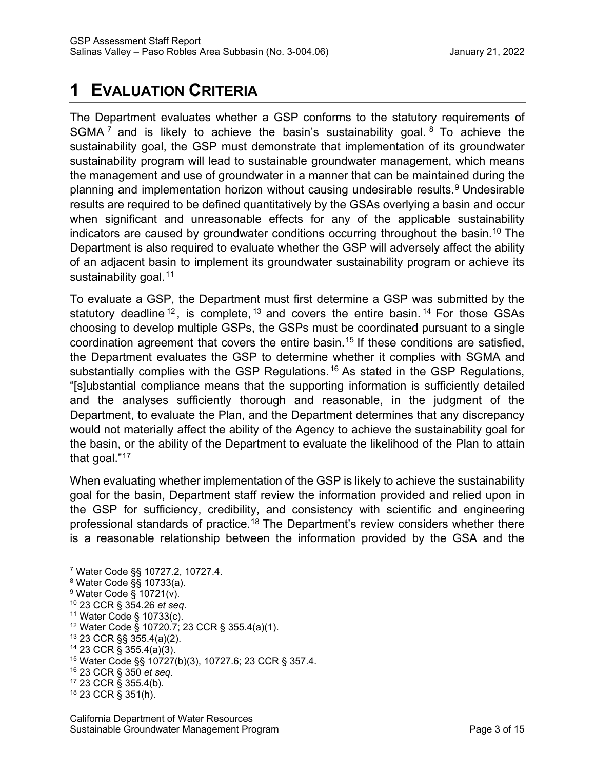# **1 EVALUATION CRITERIA**

The Department evaluates whether a GSP conforms to the statutory requirements of SGMA<sup>[7](#page-7-0)</sup> and is likely to achieve the basin's sustainability goal. <sup>[8](#page-7-1)</sup> To achieve the sustainability goal, the GSP must demonstrate that implementation of its groundwater sustainability program will lead to sustainable groundwater management, which means the management and use of groundwater in a manner that can be maintained during the planning and implementation horizon without causing undesirable results.<sup>[9](#page-7-2)</sup> Undesirable results are required to be defined quantitatively by the GSAs overlying a basin and occur when significant and unreasonable effects for any of the applicable sustainability indicators are caused by groundwater conditions occurring throughout the basin. [10](#page-7-3) The Department is also required to evaluate whether the GSP will adversely affect the ability of an adjacent basin to implement its groundwater sustainability program or achieve its sustainability goal. [11](#page-7-4)

To evaluate a GSP, the Department must first determine a GSP was submitted by the statutory deadline  $12$ , is complete,  $13$  and covers the entire basin.  $14$  For those GSAs choosing to develop multiple GSPs, the GSPs must be coordinated pursuant to a single coordination agreement that covers the entire basin. [15](#page-7-8) If these conditions are satisfied, the Department evaluates the GSP to determine whether it complies with SGMA and substantially complies with the GSP Regulations.<sup>[16](#page-7-9)</sup> As stated in the GSP Regulations, "[s]ubstantial compliance means that the supporting information is sufficiently detailed and the analyses sufficiently thorough and reasonable, in the judgment of the Department, to evaluate the Plan, and the Department determines that any discrepancy would not materially affect the ability of the Agency to achieve the sustainability goal for the basin, or the ability of the Department to evaluate the likelihood of the Plan to attain that goal."[17](#page-7-10)

When evaluating whether implementation of the GSP is likely to achieve the sustainability goal for the basin, Department staff review the information provided and relied upon in the GSP for sufficiency, credibility, and consistency with scientific and engineering professional standards of practice.<sup>[18](#page-7-11)</sup> The Department's review considers whether there is a reasonable relationship between the information provided by the GSA and the

<span id="page-7-4"></span> $11$  Water Code § 10733(c).

- <span id="page-7-6"></span><sup>13</sup> 23 CCR §§ 355.4(a)(2).
- <span id="page-7-7"></span><sup>14</sup> 23 CCR § 355.4(a)(3).

- <span id="page-7-9"></span><sup>16</sup> 23 CCR § 350 *et seq*.
- <span id="page-7-10"></span><sup>17</sup> 23 CCR § 355.4(b).

<span id="page-7-0"></span><sup>7</sup> Water Code §§ 10727.2, 10727.4.

<span id="page-7-1"></span><sup>8</sup> Water Code §§ 10733(a).

<span id="page-7-2"></span><sup>9</sup> Water Code § 10721(v).

<span id="page-7-3"></span><sup>10</sup> 23 CCR § 354.26 *et seq*.

<span id="page-7-5"></span><sup>12</sup> Water Code § 10720.7; 23 CCR § 355.4(a)(1).

<span id="page-7-8"></span><sup>15</sup> Water Code §§ 10727(b)(3), 10727.6; 23 CCR § 357.4.

<span id="page-7-11"></span><sup>18</sup> 23 CCR § 351(h).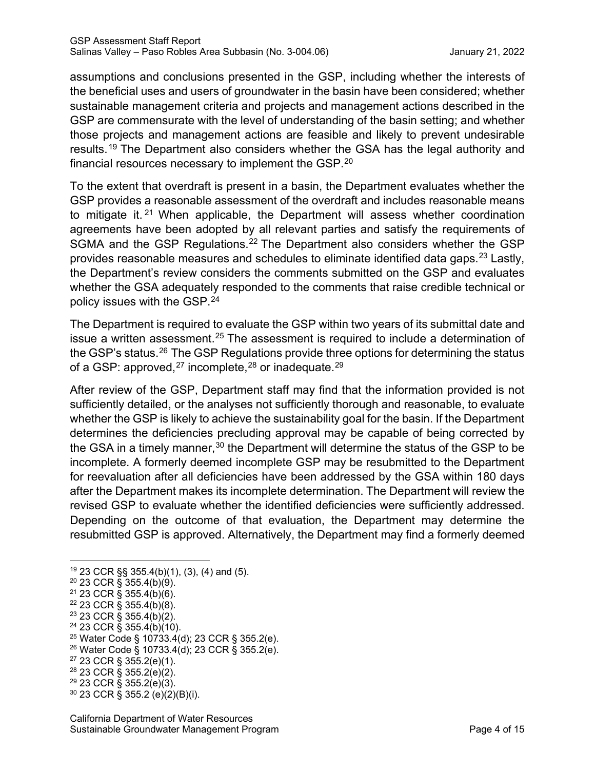assumptions and conclusions presented in the GSP, including whether the interests of the beneficial uses and users of groundwater in the basin have been considered; whether sustainable management criteria and projects and management actions described in the GSP are commensurate with the level of understanding of the basin setting; and whether those projects and management actions are feasible and likely to prevent undesirable results.[19](#page-8-0) The Department also considers whether the GSA has the legal authority and financial resources necessary to implement the GSP. $^{\mathsf{20}}$  $^{\mathsf{20}}$  $^{\mathsf{20}}$ 

To the extent that overdraft is present in a basin, the Department evaluates whether the GSP provides a reasonable assessment of the overdraft and includes reasonable means to mitigate it.<sup>[21](#page-8-2)</sup> When applicable, the Department will assess whether coordination agreements have been adopted by all relevant parties and satisfy the requirements of SGMA and the GSP Regulations.<sup>[22](#page-8-3)</sup> The Department also considers whether the GSP provides reasonable measures and schedules to eliminate identified data gaps.<sup>[23](#page-8-4)</sup> Lastly, the Department's review considers the comments submitted on the GSP and evaluates whether the GSA adequately responded to the comments that raise credible technical or policy issues with the GSP. [24](#page-8-5)

The Department is required to evaluate the GSP within two years of its submittal date and issue a written assessment.<sup>[25](#page-8-6)</sup> The assessment is required to include a determination of the GSP's status.<sup>[26](#page-8-7)</sup> The GSP Regulations provide three options for determining the status of a GSP: approved, $^{27}$  $^{27}$  $^{27}$  incomplete, $^{28}$  $^{28}$  $^{28}$  or inadequate. $^{29}$  $^{29}$  $^{29}$ 

After review of the GSP, Department staff may find that the information provided is not sufficiently detailed, or the analyses not sufficiently thorough and reasonable, to evaluate whether the GSP is likely to achieve the sustainability goal for the basin. If the Department determines the deficiencies precluding approval may be capable of being corrected by the GSA in a timely manner,  $30$  the Department will determine the status of the GSP to be incomplete. A formerly deemed incomplete GSP may be resubmitted to the Department for reevaluation after all deficiencies have been addressed by the GSA within 180 days after the Department makes its incomplete determination. The Department will review the revised GSP to evaluate whether the identified deficiencies were sufficiently addressed. Depending on the outcome of that evaluation, the Department may determine the resubmitted GSP is approved. Alternatively, the Department may find a formerly deemed

- <span id="page-8-5"></span><span id="page-8-4"></span> $24$  23 CCR § 355.4(b)(10).
- <span id="page-8-6"></span><sup>25</sup> Water Code § 10733.4(d); 23 CCR § 355.2(e).
- <span id="page-8-7"></span><sup>26</sup> Water Code § 10733.4(d); 23 CCR § 355.2(e).
- <span id="page-8-8"></span><sup>27</sup> 23 CCR § 355.2(e)(1).
- <span id="page-8-9"></span><sup>28</sup> 23 CCR § 355.2(e)(2).

<span id="page-8-0"></span><sup>19</sup> 23 CCR §§ 355.4(b)(1), (3), (4) and (5).

<span id="page-8-1"></span><sup>20</sup> 23 CCR § 355.4(b)(9).

<span id="page-8-2"></span> $21$  23 CCR § 355.4(b)(6).

<span id="page-8-3"></span><sup>22</sup> 23 CCR § 355.4(b)(8).

<sup>&</sup>lt;sup>23</sup> 23 CCR § 355.4(b)(2).

<span id="page-8-11"></span><span id="page-8-10"></span><sup>29</sup> 23 CCR § 355.2(e)(3). <sup>30</sup> 23 CCR § 355.2 (e)(2)(B)(i).

California Department of Water Resources Sustainable Groundwater Management Program **Page 1** and Page 4 of 15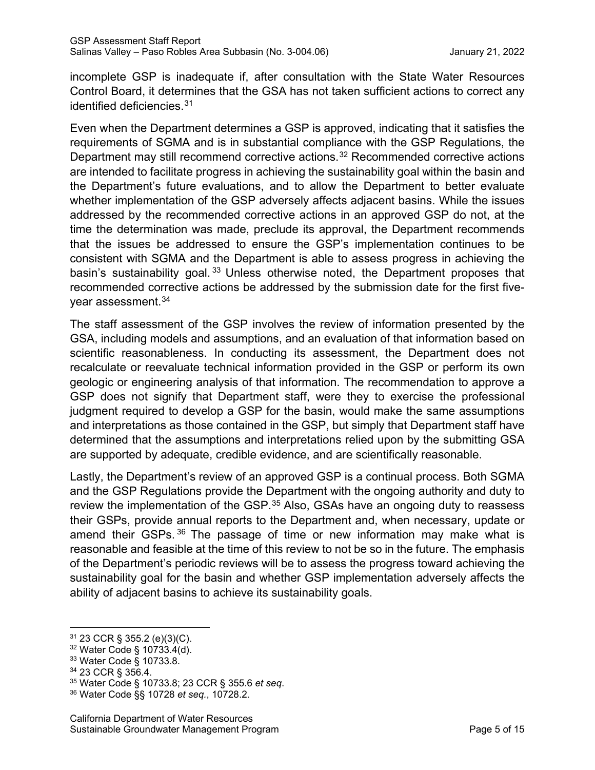incomplete GSP is inadequate if, after consultation with the State Water Resources Control Board, it determines that the GSA has not taken sufficient actions to correct any identified deficiencies.[31](#page-9-0)

Even when the Department determines a GSP is approved, indicating that it satisfies the requirements of SGMA and is in substantial compliance with the GSP Regulations, the Department may still recommend corrective actions. [32](#page-9-1) Recommended corrective actions are intended to facilitate progress in achieving the sustainability goal within the basin and the Department's future evaluations, and to allow the Department to better evaluate whether implementation of the GSP adversely affects adjacent basins. While the issues addressed by the recommended corrective actions in an approved GSP do not, at the time the determination was made, preclude its approval, the Department recommends that the issues be addressed to ensure the GSP's implementation continues to be consistent with SGMA and the Department is able to assess progress in achieving the basin's sustainability goal.<sup>[33](#page-9-2)</sup> Unless otherwise noted, the Department proposes that recommended corrective actions be addressed by the submission date for the first five-year assessment.<sup>[34](#page-9-3)</sup>

The staff assessment of the GSP involves the review of information presented by the GSA, including models and assumptions, and an evaluation of that information based on scientific reasonableness. In conducting its assessment, the Department does not recalculate or reevaluate technical information provided in the GSP or perform its own geologic or engineering analysis of that information. The recommendation to approve a GSP does not signify that Department staff, were they to exercise the professional judgment required to develop a GSP for the basin, would make the same assumptions and interpretations as those contained in the GSP, but simply that Department staff have determined that the assumptions and interpretations relied upon by the submitting GSA are supported by adequate, credible evidence, and are scientifically reasonable.

Lastly, the Department's review of an approved GSP is a continual process. Both SGMA and the GSP Regulations provide the Department with the ongoing authority and duty to review the implementation of the GSP.<sup>[35](#page-9-4)</sup> Also, GSAs have an ongoing duty to reassess their GSPs, provide annual reports to the Department and, when necessary, update or amend their GSPs. [36](#page-9-5) The passage of time or new information may make what is reasonable and feasible at the time of this review to not be so in the future. The emphasis of the Department's periodic reviews will be to assess the progress toward achieving the sustainability goal for the basin and whether GSP implementation adversely affects the ability of adjacent basins to achieve its sustainability goals.

<span id="page-9-0"></span><sup>31</sup> 23 CCR § 355.2 (e)(3)(C).

<span id="page-9-1"></span><sup>32</sup> Water Code § 10733.4(d).

<span id="page-9-2"></span><sup>33</sup> Water Code § 10733.8.

<sup>34</sup> 23 CCR § 356.4.

<span id="page-9-4"></span><span id="page-9-3"></span><sup>35</sup> Water Code § 10733.8; 23 CCR § 355.6 *et seq*.

<span id="page-9-5"></span><sup>36</sup> Water Code §§ 10728 *et seq.*, 10728.2.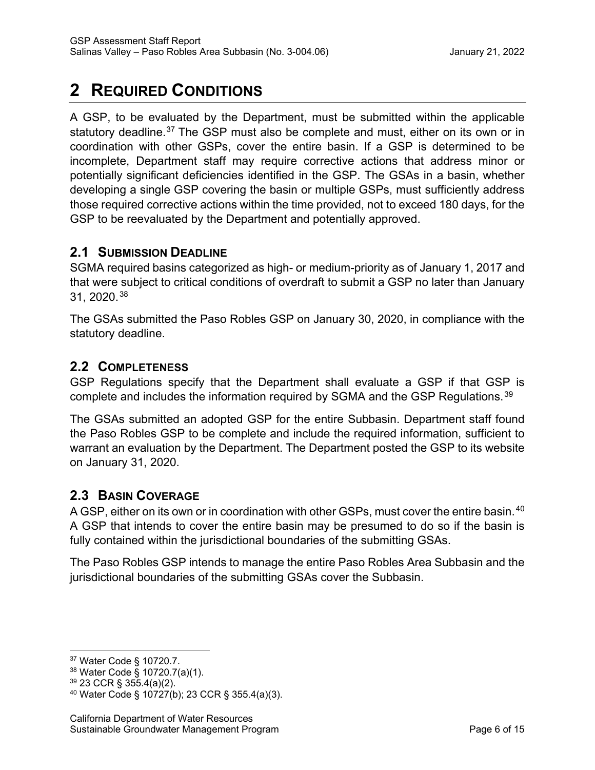# **2 REQUIRED CONDITIONS**

A GSP, to be evaluated by the Department, must be submitted within the applicable statutory deadline.<sup>[37](#page-10-0)</sup> The GSP must also be complete and must, either on its own or in coordination with other GSPs, cover the entire basin. If a GSP is determined to be incomplete, Department staff may require corrective actions that address minor or potentially significant deficiencies identified in the GSP. The GSAs in a basin, whether developing a single GSP covering the basin or multiple GSPs, must sufficiently address those required corrective actions within the time provided, not to exceed 180 days, for the GSP to be reevaluated by the Department and potentially approved.

## **2.1 SUBMISSION DEADLINE**

SGMA required basins categorized as high- or medium-priority as of January 1, 2017 and that were subject to critical conditions of overdraft to submit a GSP no later than January 31, 2020.[38](#page-10-1)

The GSAs submitted the Paso Robles GSP on January 30, 2020, in compliance with the statutory deadline.

## **2.2 COMPLETENESS**

GSP Regulations specify that the Department shall evaluate a GSP if that GSP is complete and includes the information required by SGMA and the GSP Regulations.<sup>[39](#page-10-2)</sup>

The GSAs submitted an adopted GSP for the entire Subbasin. Department staff found the Paso Robles GSP to be complete and include the required information, sufficient to warrant an evaluation by the Department. The Department posted the GSP to its website on January 31, 2020.

## **2.3 BASIN COVERAGE**

A GSP, either on its own or in coordination with other GSPs, must cover the entire basin.<sup>[40](#page-10-3)</sup> A GSP that intends to cover the entire basin may be presumed to do so if the basin is fully contained within the jurisdictional boundaries of the submitting GSAs.

The Paso Robles GSP intends to manage the entire Paso Robles Area Subbasin and the jurisdictional boundaries of the submitting GSAs cover the Subbasin.

<span id="page-10-0"></span><sup>37</sup> Water Code § 10720.7.

<span id="page-10-1"></span><sup>38</sup> Water Code § 10720.7(a)(1).

<span id="page-10-2"></span><sup>39</sup> 23 CCR § 355.4(a)(2).

<span id="page-10-3"></span><sup>40</sup> Water Code § 10727(b); 23 CCR § 355.4(a)(3).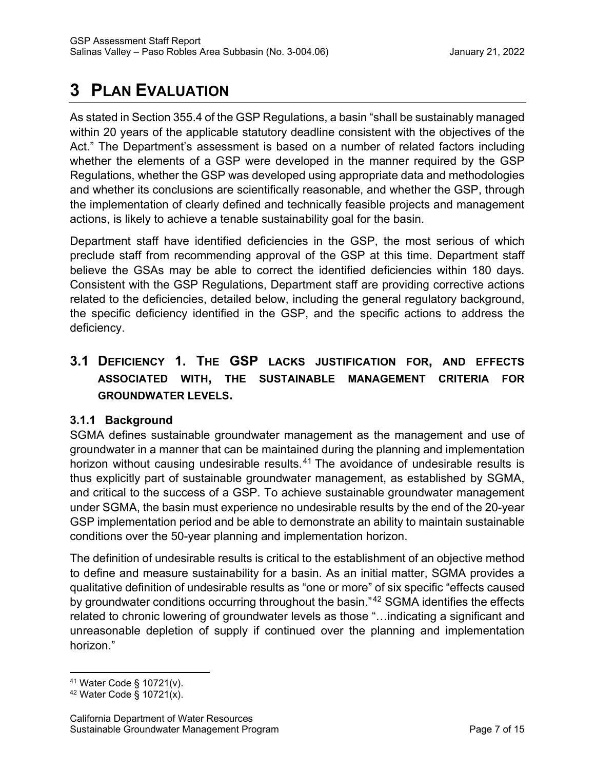# **3 PLAN EVALUATION**

As stated in Section 355.4 of the GSP Regulations, a basin "shall be sustainably managed within 20 years of the applicable statutory deadline consistent with the objectives of the Act." The Department's assessment is based on a number of related factors including whether the elements of a GSP were developed in the manner required by the GSP Regulations, whether the GSP was developed using appropriate data and methodologies and whether its conclusions are scientifically reasonable, and whether the GSP, through the implementation of clearly defined and technically feasible projects and management actions, is likely to achieve a tenable sustainability goal for the basin.

Department staff have identified deficiencies in the GSP, the most serious of which preclude staff from recommending approval of the GSP at this time. Department staff believe the GSAs may be able to correct the identified deficiencies within 180 days. Consistent with the GSP Regulations, Department staff are providing corrective actions related to the deficiencies, detailed below, including the general regulatory background, the specific deficiency identified in the GSP, and the specific actions to address the deficiency.

## **3.1 DEFICIENCY 1. THE GSP LACKS JUSTIFICATION FOR, AND EFFECTS ASSOCIATED WITH, THE SUSTAINABLE MANAGEMENT CRITERIA FOR GROUNDWATER LEVELS.**

### **3.1.1 Background**

SGMA defines sustainable groundwater management as the management and use of groundwater in a manner that can be maintained during the planning and implementation horizon without causing undesirable results.<sup>[41](#page-11-0)</sup> The avoidance of undesirable results is thus explicitly part of sustainable groundwater management, as established by SGMA, and critical to the success of a GSP. To achieve sustainable groundwater management under SGMA, the basin must experience no undesirable results by the end of the 20-year GSP implementation period and be able to demonstrate an ability to maintain sustainable conditions over the 50-year planning and implementation horizon.

The definition of undesirable results is critical to the establishment of an objective method to define and measure sustainability for a basin. As an initial matter, SGMA provides a qualitative definition of undesirable results as "one or more" of six specific "effects caused by groundwater conditions occurring throughout the basin."<sup>[42](#page-11-1)</sup> SGMA identifies the effects related to chronic lowering of groundwater levels as those "…indicating a significant and unreasonable depletion of supply if continued over the planning and implementation horizon."

<span id="page-11-0"></span> $41$  Water Code § 10721(v).

<span id="page-11-1"></span> $42$  Water Code § 10721(x).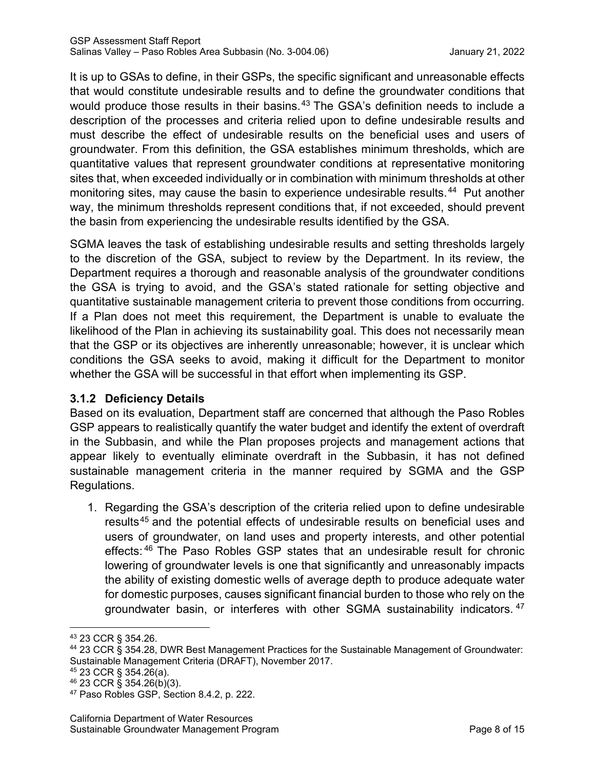It is up to GSAs to define, in their GSPs, the specific significant and unreasonable effects that would constitute undesirable results and to define the groundwater conditions that would produce those results in their basins.<sup>[43](#page-12-0)</sup> The GSA's definition needs to include a description of the processes and criteria relied upon to define undesirable results and must describe the effect of undesirable results on the beneficial uses and users of groundwater. From this definition, the GSA establishes minimum thresholds, which are quantitative values that represent groundwater conditions at representative monitoring sites that, when exceeded individually or in combination with minimum thresholds at other monitoring sites, may cause the basin to experience undesirable results.<sup>[44](#page-12-1)</sup> Put another way, the minimum thresholds represent conditions that, if not exceeded, should prevent the basin from experiencing the undesirable results identified by the GSA.

SGMA leaves the task of establishing undesirable results and setting thresholds largely to the discretion of the GSA, subject to review by the Department. In its review, the Department requires a thorough and reasonable analysis of the groundwater conditions the GSA is trying to avoid, and the GSA's stated rationale for setting objective and quantitative sustainable management criteria to prevent those conditions from occurring. If a Plan does not meet this requirement, the Department is unable to evaluate the likelihood of the Plan in achieving its sustainability goal. This does not necessarily mean that the GSP or its objectives are inherently unreasonable; however, it is unclear which conditions the GSA seeks to avoid, making it difficult for the Department to monitor whether the GSA will be successful in that effort when implementing its GSP.

### **3.1.2 Deficiency Details**

Based on its evaluation, Department staff are concerned that although the Paso Robles GSP appears to realistically quantify the water budget and identify the extent of overdraft in the Subbasin, and while the Plan proposes projects and management actions that appear likely to eventually eliminate overdraft in the Subbasin, it has not defined sustainable management criteria in the manner required by SGMA and the GSP Regulations.

1. Regarding the GSA's description of the criteria relied upon to define undesirable results<sup>[45](#page-12-2)</sup> and the potential effects of undesirable results on beneficial uses and users of groundwater, on land uses and property interests, and other potential effects: [46](#page-12-3) The Paso Robles GSP states that an undesirable result for chronic lowering of groundwater levels is one that significantly and unreasonably impacts the ability of existing domestic wells of average depth to produce adequate water for domestic purposes, causes significant financial burden to those who rely on the groundwater basin, or interferes with other SGMA sustainability indicators. [47](#page-12-4)

- <span id="page-12-1"></span><sup>44</sup> 23 CCR § 354.28, DWR Best Management Practices for the Sustainable Management of Groundwater: Sustainable Management Criteria (DRAFT), November 2017.
- <span id="page-12-2"></span><sup>45</sup> 23 CCR § 354.26(a).
- <span id="page-12-3"></span><sup>46</sup> 23 CCR § 354.26(b)(3).

<span id="page-12-0"></span><sup>43</sup> 23 CCR § 354.26.

<span id="page-12-4"></span><sup>47</sup> Paso Robles GSP, Section 8.4.2, p. 222.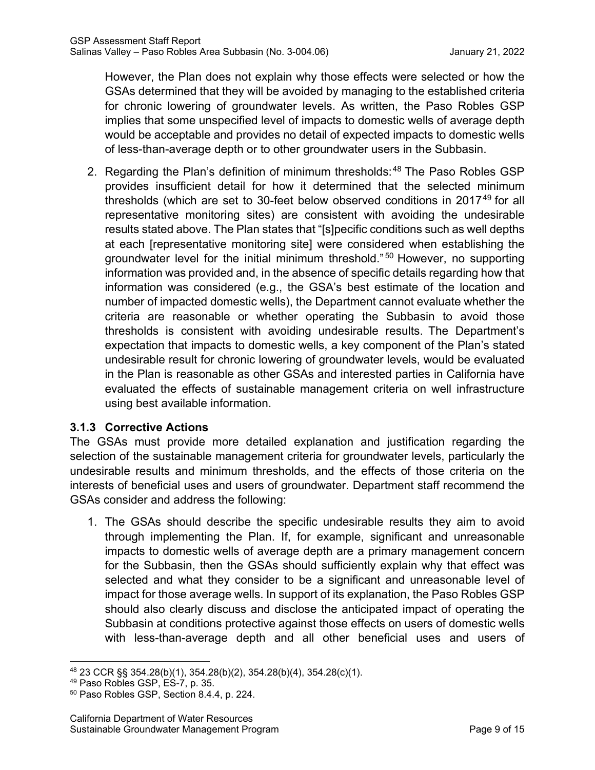However, the Plan does not explain why those effects were selected or how the GSAs determined that they will be avoided by managing to the established criteria for chronic lowering of groundwater levels. As written, the Paso Robles GSP implies that some unspecified level of impacts to domestic wells of average depth would be acceptable and provides no detail of expected impacts to domestic wells of less-than-average depth or to other groundwater users in the Subbasin.

2. Regarding the Plan's definition of minimum thresholds:<sup>[48](#page-13-0)</sup> The Paso Robles GSP provides insufficient detail for how it determined that the selected minimum thresholds (which are set to 30-feet below observed conditions in 2017<sup>[49](#page-13-1)</sup> for all representative monitoring sites) are consistent with avoiding the undesirable results stated above. The Plan states that "[s]pecific conditions such as well depths at each [representative monitoring site] were considered when establishing the groundwater level for the initial minimum threshold." [50](#page-13-2) However, no supporting information was provided and, in the absence of specific details regarding how that information was considered (e.g., the GSA's best estimate of the location and number of impacted domestic wells), the Department cannot evaluate whether the criteria are reasonable or whether operating the Subbasin to avoid those thresholds is consistent with avoiding undesirable results. The Department's expectation that impacts to domestic wells, a key component of the Plan's stated undesirable result for chronic lowering of groundwater levels, would be evaluated in the Plan is reasonable as other GSAs and interested parties in California have evaluated the effects of sustainable management criteria on well infrastructure using best available information.

### **3.1.3 Corrective Actions**

The GSAs must provide more detailed explanation and justification regarding the selection of the sustainable management criteria for groundwater levels, particularly the undesirable results and minimum thresholds, and the effects of those criteria on the interests of beneficial uses and users of groundwater. Department staff recommend the GSAs consider and address the following:

1. The GSAs should describe the specific undesirable results they aim to avoid through implementing the Plan. If, for example, significant and unreasonable impacts to domestic wells of average depth are a primary management concern for the Subbasin, then the GSAs should sufficiently explain why that effect was selected and what they consider to be a significant and unreasonable level of impact for those average wells. In support of its explanation, the Paso Robles GSP should also clearly discuss and disclose the anticipated impact of operating the Subbasin at conditions protective against those effects on users of domestic wells with less-than-average depth and all other beneficial uses and users of

<span id="page-13-0"></span><sup>48</sup> 23 CCR §§ 354.28(b)(1), 354.28(b)(2), 354.28(b)(4), 354.28(c)(1).

<span id="page-13-1"></span><sup>49</sup> Paso Robles GSP, ES-7, p. 35.

<span id="page-13-2"></span><sup>50</sup> Paso Robles GSP, Section 8.4.4, p. 224.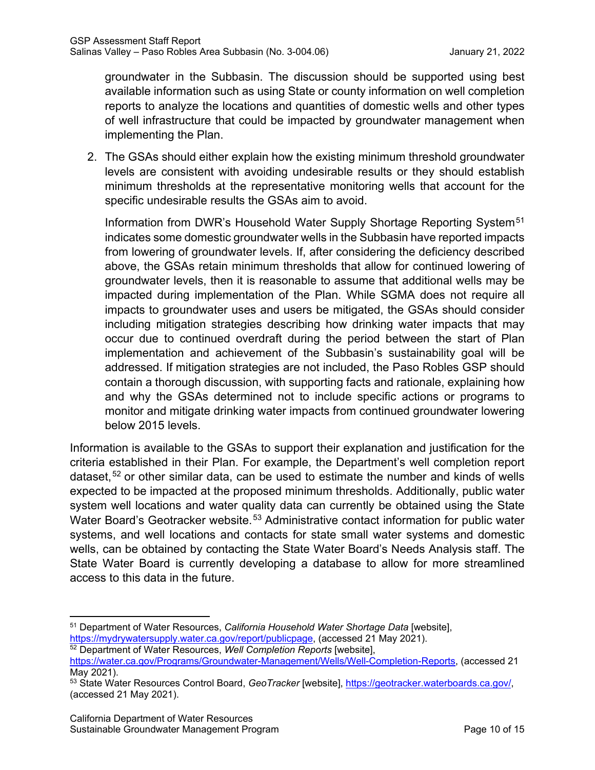groundwater in the Subbasin. The discussion should be supported using best available information such as using State or county information on well completion reports to analyze the locations and quantities of domestic wells and other types of well infrastructure that could be impacted by groundwater management when implementing the Plan.

2. The GSAs should either explain how the existing minimum threshold groundwater levels are consistent with avoiding undesirable results or they should establish minimum thresholds at the representative monitoring wells that account for the specific undesirable results the GSAs aim to avoid.

Information from DWR's Household Water Supply Shortage Reporting System<sup>[51](#page-14-0)</sup> indicates some domestic groundwater wells in the Subbasin have reported impacts from lowering of groundwater levels. If, after considering the deficiency described above, the GSAs retain minimum thresholds that allow for continued lowering of groundwater levels, then it is reasonable to assume that additional wells may be impacted during implementation of the Plan. While SGMA does not require all impacts to groundwater uses and users be mitigated, the GSAs should consider including mitigation strategies describing how drinking water impacts that may occur due to continued overdraft during the period between the start of Plan implementation and achievement of the Subbasin's sustainability goal will be addressed. If mitigation strategies are not included, the Paso Robles GSP should contain a thorough discussion, with supporting facts and rationale, explaining how and why the GSAs determined not to include specific actions or programs to monitor and mitigate drinking water impacts from continued groundwater lowering below 2015 levels.

Information is available to the GSAs to support their explanation and justification for the criteria established in their Plan. For example, the Department's well completion report dataset,  $52$  or other similar data, can be used to estimate the number and kinds of wells expected to be impacted at the proposed minimum thresholds. Additionally, public water system well locations and water quality data can currently be obtained using the State Water Board's Geotracker website.<sup>[53](#page-14-2)</sup> Administrative contact information for public water systems, and well locations and contacts for state small water systems and domestic wells, can be obtained by contacting the State Water Board's Needs Analysis staff. The State Water Board is currently developing a database to allow for more streamlined access to this data in the future.

<span id="page-14-0"></span><sup>51</sup> Department of Water Resources, *California Household Water Shortage Data* [website], [https://mydrywatersupply.water.ca.gov/report/publicpage,](https://mydrywatersupply.water.ca.gov/report/publicpage) (accessed 21 May 2021).

<span id="page-14-1"></span><sup>52</sup> Department of Water Resources, *Well Completion Reports* [website],

[https://water.ca.gov/Programs/Groundwater-Management/Wells/Well-Completion-Reports,](https://water.ca.gov/Programs/Groundwater-Management/Wells/Well-Completion-Reports) (accessed 21 May 2021).

<span id="page-14-2"></span><sup>53</sup> State Water Resources Control Board, *GeoTracker* [website], [https://geotracker.waterboards.ca.gov/,](https://geotracker.waterboards.ca.gov/) (accessed 21 May 2021).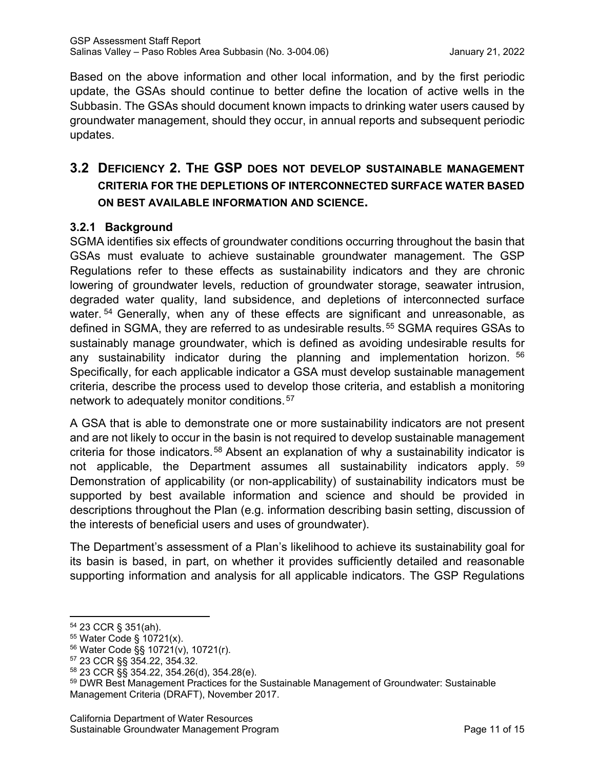Based on the above information and other local information, and by the first periodic update, the GSAs should continue to better define the location of active wells in the Subbasin. The GSAs should document known impacts to drinking water users caused by groundwater management, should they occur, in annual reports and subsequent periodic updates.

## **3.2 DEFICIENCY 2. THE GSP DOES NOT DEVELOP SUSTAINABLE MANAGEMENT CRITERIA FOR THE DEPLETIONS OF INTERCONNECTED SURFACE WATER BASED ON BEST AVAILABLE INFORMATION AND SCIENCE.**

### **3.2.1 Background**

SGMA identifies six effects of groundwater conditions occurring throughout the basin that GSAs must evaluate to achieve sustainable groundwater management. The GSP Regulations refer to these effects as sustainability indicators and they are chronic lowering of groundwater levels, reduction of groundwater storage, seawater intrusion, degraded water quality, land subsidence, and depletions of interconnected surface water. <sup>[54](#page-15-0)</sup> Generally, when any of these effects are significant and unreasonable, as defined in SGMA, they are referred to as undesirable results.<sup>[55](#page-15-1)</sup> SGMA requires GSAs to sustainably manage groundwater, which is defined as avoiding undesirable results for any sustainability indicator during the planning and implementation horizon. [56](#page-15-2) Specifically, for each applicable indicator a GSA must develop sustainable management criteria, describe the process used to develop those criteria, and establish a monitoring network to adequately monitor conditions.[57](#page-15-3)

A GSA that is able to demonstrate one or more sustainability indicators are not present and are not likely to occur in the basin is not required to develop sustainable management criteria for those indicators.<sup>[58](#page-15-4)</sup> Absent an explanation of why a sustainability indicator is not applicable, the Department assumes all sustainability indicators apply. [59](#page-15-5) Demonstration of applicability (or non-applicability) of sustainability indicators must be supported by best available information and science and should be provided in descriptions throughout the Plan (e.g. information describing basin setting, discussion of the interests of beneficial users and uses of groundwater).

The Department's assessment of a Plan's likelihood to achieve its sustainability goal for its basin is based, in part, on whether it provides sufficiently detailed and reasonable supporting information and analysis for all applicable indicators. The GSP Regulations

<span id="page-15-0"></span><sup>54</sup> 23 CCR § 351(ah).

<span id="page-15-1"></span><sup>55</sup> Water Code § 10721(x).

<span id="page-15-2"></span><sup>56</sup> Water Code §§ 10721(v), 10721(r).

<span id="page-15-3"></span><sup>57</sup> 23 CCR §§ 354.22, 354.32.

<span id="page-15-4"></span><sup>58</sup> 23 CCR §§ 354.22, 354.26(d), 354.28(e).

<span id="page-15-5"></span><sup>&</sup>lt;sup>59</sup> DWR Best Management Practices for the Sustainable Management of Groundwater: Sustainable Management Criteria (DRAFT), November 2017.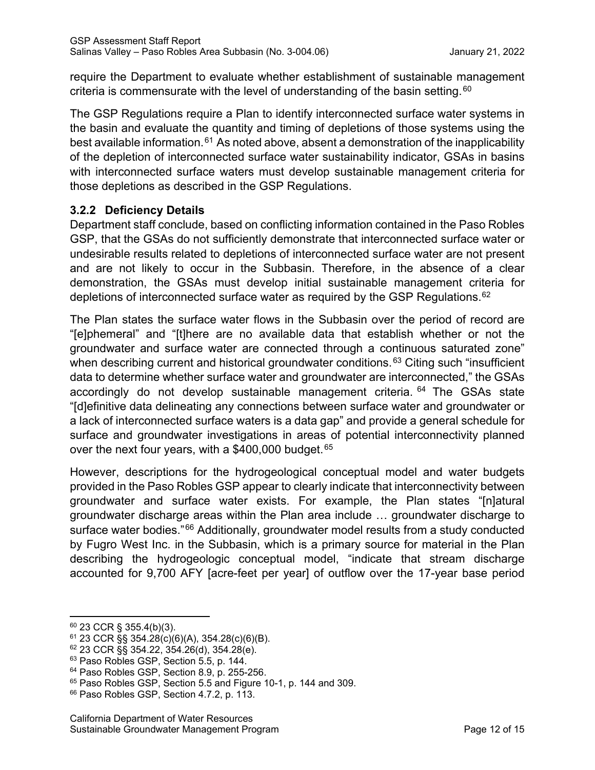require the Department to evaluate whether establishment of sustainable management criteria is commensurate with the level of understanding of the basin setting.  $60$ 

The GSP Regulations require a Plan to identify interconnected surface water systems in the basin and evaluate the quantity and timing of depletions of those systems using the best available information.<sup>[61](#page-16-1)</sup> As noted above, absent a demonstration of the inapplicability of the depletion of interconnected surface water sustainability indicator, GSAs in basins with interconnected surface waters must develop sustainable management criteria for those depletions as described in the GSP Regulations.

### **3.2.2 Deficiency Details**

Department staff conclude, based on conflicting information contained in the Paso Robles GSP, that the GSAs do not sufficiently demonstrate that interconnected surface water or undesirable results related to depletions of interconnected surface water are not present and are not likely to occur in the Subbasin. Therefore, in the absence of a clear demonstration, the GSAs must develop initial sustainable management criteria for depletions of interconnected surface water as required by the GSP Regulations.<sup>[62](#page-16-2)</sup>

The Plan states the surface water flows in the Subbasin over the period of record are "[e]phemeral" and "[t]here are no available data that establish whether or not the groundwater and surface water are connected through a continuous saturated zone" when describing current and historical groundwater conditions.<sup>[63](#page-16-3)</sup> Citing such "insufficient" data to determine whether surface water and groundwater are interconnected," the GSAs accordingly do not develop sustainable management criteria. <sup>[64](#page-16-4)</sup> The GSAs state "[d]efinitive data delineating any connections between surface water and groundwater or a lack of interconnected surface waters is a data gap" and provide a general schedule for surface and groundwater investigations in areas of potential interconnectivity planned over the next four years, with a  $$400,000$  budget.  $^{65}$  $^{65}$  $^{65}$ 

However, descriptions for the hydrogeological conceptual model and water budgets provided in the Paso Robles GSP appear to clearly indicate that interconnectivity between groundwater and surface water exists. For example, the Plan states "[n]atural groundwater discharge areas within the Plan area include … groundwater discharge to surface water bodies."[66](#page-16-6) Additionally, groundwater model results from a study conducted by Fugro West Inc. in the Subbasin, which is a primary source for material in the Plan describing the hydrogeologic conceptual model, "indicate that stream discharge accounted for 9,700 AFY [acre-feet per year] of outflow over the 17-year base period

<span id="page-16-0"></span> $60$  23 CCR § 355.4(b)(3).

<span id="page-16-1"></span> $61$  23 CCR §§ 354.28(c)(6)(A), 354.28(c)(6)(B).

<span id="page-16-2"></span> $62$  23 CCR §§ 354.22, 354.26(d), 354.28(e).

<span id="page-16-3"></span><sup>63</sup> Paso Robles GSP, Section 5.5, p. 144.

<span id="page-16-4"></span><sup>64</sup> Paso Robles GSP, Section 8.9, p. 255-256.

<span id="page-16-5"></span><sup>65</sup> Paso Robles GSP, Section 5.5 and Figure 10-1, p. 144 and 309.

<span id="page-16-6"></span><sup>66</sup> Paso Robles GSP, Section 4.7.2, p. 113.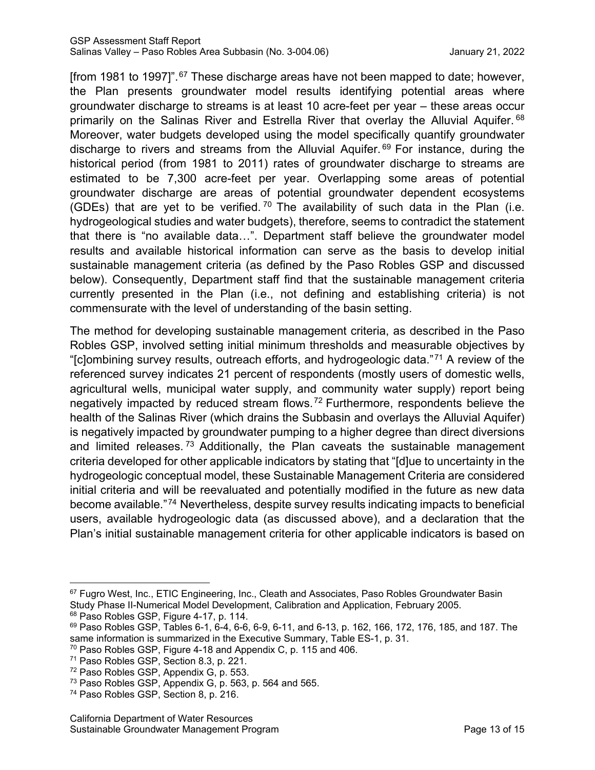[from 1981 to 1997]".[67](#page-17-0) These discharge areas have not been mapped to date; however, the Plan presents groundwater model results identifying potential areas where groundwater discharge to streams is at least 10 acre-feet per year – these areas occur primarily on the Salinas River and Estrella River that overlay the Alluvial Aquifer. [68](#page-17-1) Moreover, water budgets developed using the model specifically quantify groundwater discharge to rivers and streams from the Alluvial Aquifer.<sup>[69](#page-17-2)</sup> For instance, during the historical period (from 1981 to 2011) rates of groundwater discharge to streams are estimated to be 7,300 acre-feet per year. Overlapping some areas of potential groundwater discharge are areas of potential groundwater dependent ecosystems (GDEs) that are yet to be verified.<sup>[70](#page-17-3)</sup> The availability of such data in the Plan (i.e. hydrogeological studies and water budgets), therefore, seems to contradict the statement that there is "no available data…". Department staff believe the groundwater model results and available historical information can serve as the basis to develop initial sustainable management criteria (as defined by the Paso Robles GSP and discussed below). Consequently, Department staff find that the sustainable management criteria currently presented in the Plan (i.e., not defining and establishing criteria) is not commensurate with the level of understanding of the basin setting.

The method for developing sustainable management criteria, as described in the Paso Robles GSP, involved setting initial minimum thresholds and measurable objectives by "[c]ombining survey results, outreach efforts, and hydrogeologic data."[71](#page-17-4) A review of the referenced survey indicates 21 percent of respondents (mostly users of domestic wells, agricultural wells, municipal water supply, and community water supply) report being negatively impacted by reduced stream flows.[72](#page-17-5) Furthermore, respondents believe the health of the Salinas River (which drains the Subbasin and overlays the Alluvial Aquifer) is negatively impacted by groundwater pumping to a higher degree than direct diversions and limited releases.  $73$  Additionally, the Plan caveats the sustainable management criteria developed for other applicable indicators by stating that "[d]ue to uncertainty in the hydrogeologic conceptual model, these Sustainable Management Criteria are considered initial criteria and will be reevaluated and potentially modified in the future as new data become available."[74](#page-17-6) Nevertheless, despite survey results indicating impacts to beneficial users, available hydrogeologic data (as discussed above), and a declaration that the Plan's initial sustainable management criteria for other applicable indicators is based on

<span id="page-17-0"></span><sup>67</sup> Fugro West, Inc., ETIC Engineering, Inc., Cleath and Associates, Paso Robles Groundwater Basin Study Phase II-Numerical Model Development, Calibration and Application, February 2005. 68 Paso Robles GSP, Figure 4-17, p. 114.

<span id="page-17-2"></span><span id="page-17-1"></span> $69$  Paso Robles GSP, Tables 6-1, 6-4, 6-6, 6-9, 6-11, and 6-13, p. 162, 166, 172, 176, 185, and 187. The

same information is summarized in the Executive Summary, Table ES-1, p. 31.

<span id="page-17-3"></span><sup>70</sup> Paso Robles GSP, Figure 4-18 and Appendix C, p. 115 and 406.

<span id="page-17-4"></span><sup>71</sup> Paso Robles GSP, Section 8.3, p. 221.

<span id="page-17-5"></span><sup>72</sup> Paso Robles GSP, Appendix G, p. 553.

<sup>73</sup> Paso Robles GSP, Appendix G, p. 563, p. 564 and 565.

<span id="page-17-6"></span><sup>74</sup> Paso Robles GSP, Section 8, p. 216.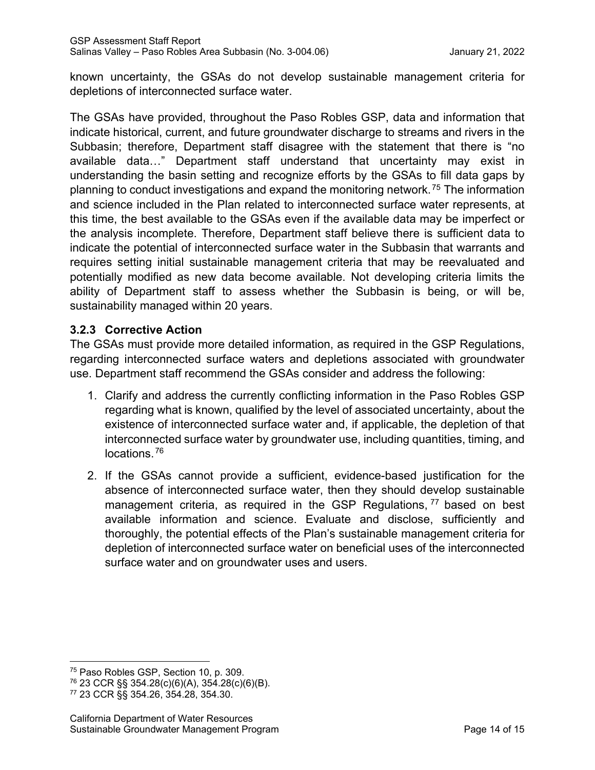known uncertainty, the GSAs do not develop sustainable management criteria for depletions of interconnected surface water.

The GSAs have provided, throughout the Paso Robles GSP, data and information that indicate historical, current, and future groundwater discharge to streams and rivers in the Subbasin; therefore, Department staff disagree with the statement that there is "no available data…" Department staff understand that uncertainty may exist in understanding the basin setting and recognize efforts by the GSAs to fill data gaps by planning to conduct investigations and expand the monitoring network.[75](#page-18-0) The information and science included in the Plan related to interconnected surface water represents, at this time, the best available to the GSAs even if the available data may be imperfect or the analysis incomplete. Therefore, Department staff believe there is sufficient data to indicate the potential of interconnected surface water in the Subbasin that warrants and requires setting initial sustainable management criteria that may be reevaluated and potentially modified as new data become available. Not developing criteria limits the ability of Department staff to assess whether the Subbasin is being, or will be, sustainability managed within 20 years.

#### **3.2.3 Corrective Action**

The GSAs must provide more detailed information, as required in the GSP Regulations, regarding interconnected surface waters and depletions associated with groundwater use. Department staff recommend the GSAs consider and address the following:

- 1. Clarify and address the currently conflicting information in the Paso Robles GSP regarding what is known, qualified by the level of associated uncertainty, about the existence of interconnected surface water and, if applicable, the depletion of that interconnected surface water by groundwater use, including quantities, timing, and locations.[76](#page-18-1)
- 2. If the GSAs cannot provide a sufficient, evidence-based justification for the absence of interconnected surface water, then they should develop sustainable management criteria, as required in the GSP Regulations, <sup>[77](#page-18-2)</sup> based on best available information and science. Evaluate and disclose, sufficiently and thoroughly, the potential effects of the Plan's sustainable management criteria for depletion of interconnected surface water on beneficial uses of the interconnected surface water and on groundwater uses and users.

<span id="page-18-0"></span><sup>75</sup> Paso Robles GSP, Section 10, p. 309.

<span id="page-18-1"></span><sup>76</sup> 23 CCR §§ 354.28(c)(6)(A), 354.28(c)(6)(B).

<span id="page-18-2"></span><sup>77</sup> 23 CCR §§ 354.26, 354.28, 354.30.